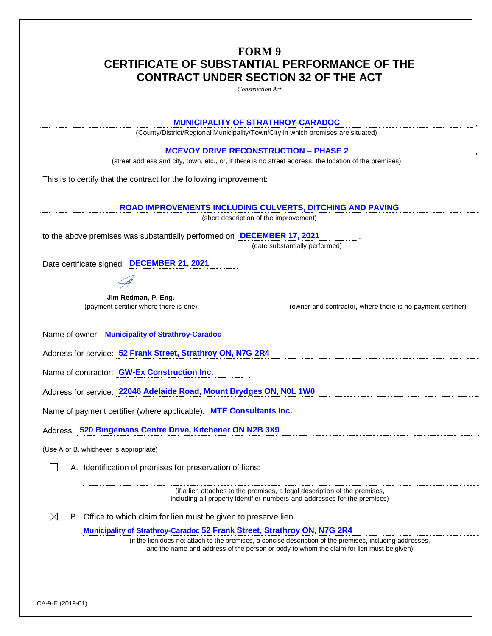## **FORM 9 CERTIFICATE OF SUBSTANTIAL PERFORMANCE OF THE CONTRACT UNDER SECTION 32 OF THE ACT**

*Construction Act* **MUNICIPALITY OF STRATHROY-CARADOC** , (County/District/Regional Municipality/Town/City in which premises are situated) **MCEVOY DRIVE RECONSTRUCTION – PHASE 2** , (street address and city, town, etc., or, if there is no street address, the location of the premises) This is to certify that the contract for the following improvement: **ROAD IMPROVEMENTS INCLUDING CULVERTS, DITCHING AND PAVING** (short description of the improvement) to the above premises was substantially performed on **DECEMBER 17, 2021** . (date substantially performed) Date certificate signed: **DECEMBER 21, 2021 Jim Redman, P. Eng.** (payment certifier where there is one) (owner and contractor, where there is no payment certifier) Name of owner: **Municipality of Strathroy-Caradoc** Address for service: **52 Frank Street, Strathroy ON, N7G 2R4** Name of contractor: **GW-Ex Construction Inc.** Address for service: **22046 Adelaide Road, Mount Brydges ON, N0L 1W0** Name of payment certifier (where applicable): **MTE Consultants Inc.** Address: **520 Bingemans Centre Drive, Kitchener ON N2B 3X9** (Use A or B, whichever is appropriate)  $\Box$  A. Identification of premises for preservation of liens: (if a lien attaches to the premises, a legal description of the premises, including all property identifier numbers and addresses for the premises)  $\boxtimes$  B. Office to which claim for lien must be given to preserve lien: **Municipality of Strathroy-Caradoc 52 Frank Street, Strathroy ON, N7G 2R4** (if the lien does not attach to the premises, a concise description of the premises, including addresses, and the name and address of the person or body to whom the claim for lien must be given)